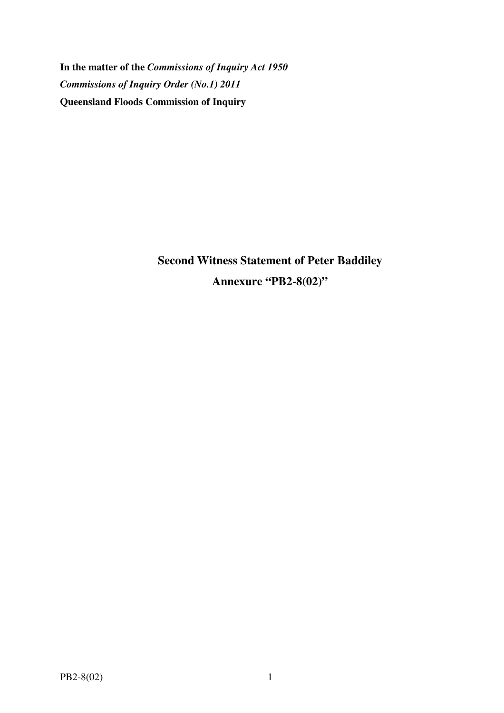**In the matter of the** *Commissions of Inquiry Act 1950 Commissions of Inquiry Order (No.1) 2011* **Queensland Floods Commission of Inquiry** 

> **Second Witness Statement of Peter Baddiley Annexure "PB2-8(02)"**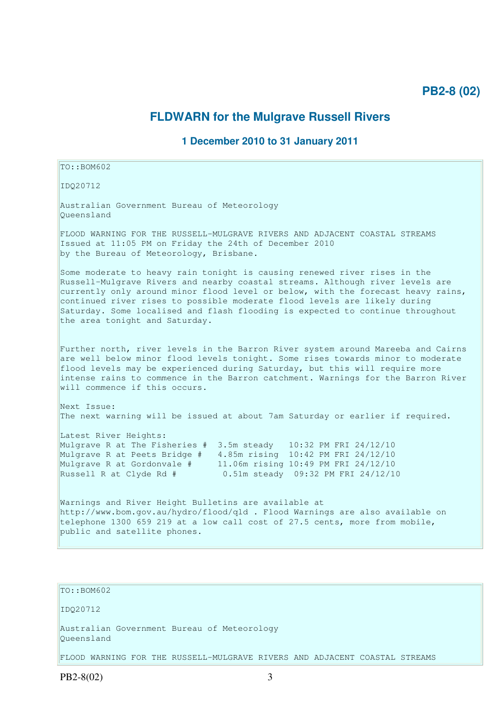## **PB2-8 (02)**

### **FLDWARN for the Mulgrave Russell Rivers**

#### **1 December 2010 to 31 January 2011**

# IDQ20712 Australian Government Bureau of Meteorology Queensland FLOOD WARNING FOR THE RUSSELL-MULGRAVE RIVERS AND ADJACENT COASTAL STREAMS Issued at 11:05 PM on Friday the 24th of December 2010 by the Bureau of Meteorology, Brisbane. Some moderate to heavy rain tonight is causing renewed river rises in the Russell-Mulgrave Rivers and nearby coastal streams. Although river levels are currently only around minor flood level or below, with the forecast heavy rains, continued river rises to possible moderate flood levels are likely during Saturday. Some localised and flash flooding is expected to continue throughout the area tonight and Saturday. Further north, river levels in the Barron River system around Mareeba and Cairns are well below minor flood levels tonight. Some rises towards minor to moderate flood levels may be experienced during Saturday, but this will require more intense rains to commence in the Barron catchment. Warnings for the Barron River will commence if this occurs. Next Issue: The next warning will be issued at about 7am Saturday or earlier if required. Latest River Heights: Mulgrave R at The Fisheries # 3.5m steady 10:32 PM FRI 24/12/10 Mulgrave R at Peets Bridge # 4.85m rising 10:42 PM FRI 24/12/10 Mulgrave R at Gordonvale # 11.06m rising 10:49 PM FRI 24/12/10 Russell R at Clyde Rd # 0.51m steady 09:32 PM FRI 24/12/10 Warnings and River Height Bulletins are available at http://www.bom.gov.au/hydro/flood/qld . Flood Warnings are also available on telephone 1300 659 219 at a low call cost of 27.5 cents, more from mobile, public and satellite phones.

## $TO·ROM602$

TO::BOM602

IDQ20712

Australian Government Bureau of Meteorology Queensland

FLOOD WARNING FOR THE RUSSELL-MULGRAVE RIVERS AND ADJACENT COASTAL STREAMS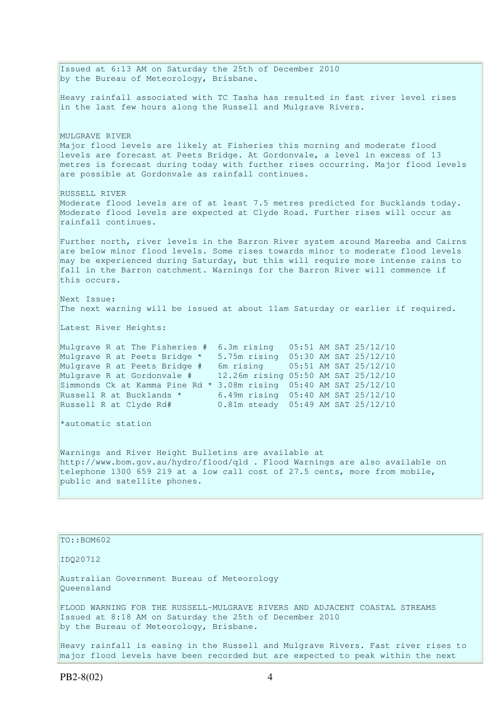Issued at 6:13 AM on Saturday the 25th of December 2010 by the Bureau of Meteorology, Brisbane. Heavy rainfall associated with TC Tasha has resulted in fast river level rises in the last few hours along the Russell and Mulgrave Rivers. MULGRAVE RIVER Major flood levels are likely at Fisheries this morning and moderate flood levels are forecast at Peets Bridge. At Gordonvale, a level in excess of 13 metres is forecast during today with further rises occurring. Major flood levels are possible at Gordonvale as rainfall continues. RUSSELL RIVER Moderate flood levels are of at least 7.5 metres predicted for Bucklands today. Moderate flood levels are expected at Clyde Road. Further rises will occur as rainfall continues. Further north, river levels in the Barron River system around Mareeba and Cairns are below minor flood levels. Some rises towards minor to moderate flood levels may be experienced during Saturday, but this will require more intense rains to fall in the Barron catchment. Warnings for the Barron River will commence if this occurs. Next Issue: The next warning will be issued at about 11am Saturday or earlier if required. Latest River Heights: Mulgrave R at The Fisheries # 6.3m rising 05:51 AM SAT 25/12/10 Mulgrave R at Peets Bridge \* 5.75m rising 05:30 AM SAT 25/12/10 Mulgrave R at Peets Bridge # 6m rising 05:51 AM SAT 25/12/10 Mulgrave R at Gordonvale # 12.26m rising 05:50 AM SAT 25/12/10 Simmonds Ck at Kamma Pine Rd \* 3.08m rising 05:40 AM SAT 25/12/10 Russell R at Bucklands \*  $6.49$ m rising  $05:40$  AM SAT 25/12/10 Russell R at Clyde Rd# 0.81m steady 05:49 AM SAT 25/12/10 \*automatic station Warnings and River Height Bulletins are available at http://www.bom.gov.au/hydro/flood/qld . Flood Warnings are also available on telephone 1300 659 219 at a low call cost of 27.5 cents, more from mobile, public and satellite phones. TO::BOM602 IDQ20712 Australian Government Bureau of Meteorology Queensland

FLOOD WARNING FOR THE RUSSELL-MULGRAVE RIVERS AND ADJACENT COASTAL STREAMS Issued at 8:18 AM on Saturday the 25th of December 2010 by the Bureau of Meteorology, Brisbane.

Heavy rainfall is easing in the Russell and Mulgrave Rivers. Fast river rises to major flood levels have been recorded but are expected to peak within the next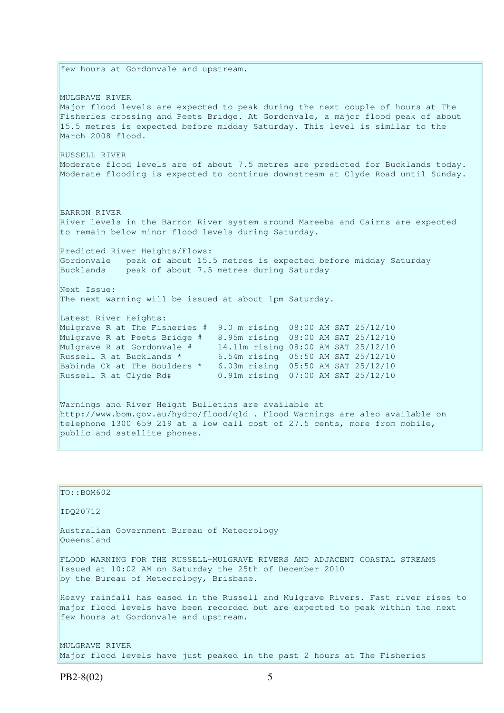few hours at Gordonvale and upstream. MULGRAVE RIVER Major flood levels are expected to peak during the next couple of hours at The Fisheries crossing and Peets Bridge. At Gordonvale, a major flood peak of about 15.5 metres is expected before midday Saturday. This level is similar to the March 2008 flood. RUSSELL RIVER Moderate flood levels are of about 7.5 metres are predicted for Bucklands today. Moderate flooding is expected to continue downstream at Clyde Road until Sunday. BARRON RIVER River levels in the Barron River system around Mareeba and Cairns are expected to remain below minor flood levels during Saturday. Predicted River Heights/Flows: Gordonvale peak of about 15.5 metres is expected before midday Saturday Bucklands peak of about 7.5 metres during Saturday Next Issue: The next warning will be issued at about 1pm Saturday. Latest River Heights: Mulgrave R at The Fisheries # 9.0 m rising 08:00 AM SAT 25/12/10 Mulgrave R at Peets Bridge # 8.95m rising 08:00 AM SAT 25/12/10 Mulgrave R at Gordonvale  $\frac{1}{4}$  14.11m rising 08:00 AM SAT 25/12/10<br>Russell R at Bucklands \* 6.54m rising 05:50 AM SAT 25/12/10 Russell R at Bucklands \* 6.54m rising 05:50 AM SAT 25/12/10 Babinda Ck at The Boulders \* 6.03m rising 05:50 AM SAT 25/12/10 Russell R at Clyde Rd# 0.91m rising 07:00 AM SAT 25/12/10 Warnings and River Height Bulletins are available at http://www.bom.gov.au/hydro/flood/qld . Flood Warnings are also available on telephone 1300 659 219 at a low call cost of 27.5 cents, more from mobile, public and satellite phones.

| TO: <b>:BOM602</b>                                                                                                                                                                                          |
|-------------------------------------------------------------------------------------------------------------------------------------------------------------------------------------------------------------|
| ID020712                                                                                                                                                                                                    |
| Australian Government Bureau of Meteorology<br>Oueensland                                                                                                                                                   |
| FLOOD WARNING FOR THE RUSSELL-MULGRAVE RIVERS AND ADJACENT COASTAL STREAMS<br>Issued at 10:02 AM on Saturday the 25th of December 2010<br>by the Bureau of Meteorology, Brisbane.                           |
| Heavy rainfall has eased in the Russell and Mulgrave Rivers. Fast river rises to<br>major flood levels have been recorded but are expected to peak within the next<br>few hours at Gordonvale and upstream. |
| MULGRAVE RIVER                                                                                                                                                                                              |

Major flood levels have just peaked in the past 2 hours at The Fisheries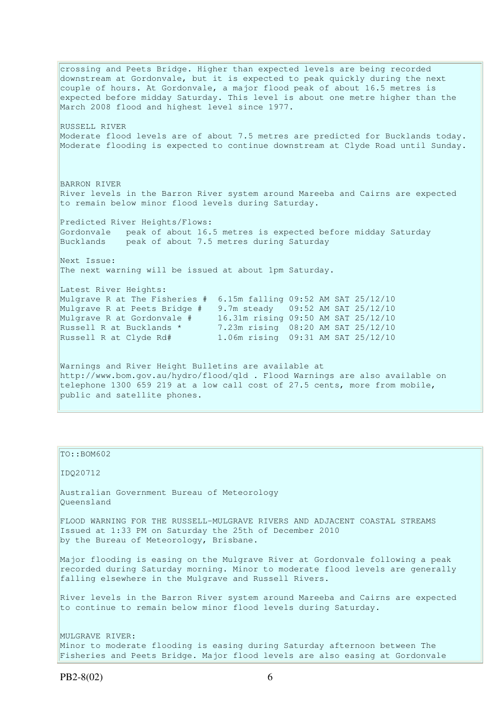crossing and Peets Bridge. Higher than expected levels are being recorded downstream at Gordonvale, but it is expected to peak quickly during the next couple of hours. At Gordonvale, a major flood peak of about 16.5 metres is expected before midday Saturday. This level is about one metre higher than the March 2008 flood and highest level since 1977. RUSSELL RIVER Moderate flood levels are of about 7.5 metres are predicted for Bucklands today. Moderate flooding is expected to continue downstream at Clyde Road until Sunday. BARRON RIVER River levels in the Barron River system around Mareeba and Cairns are expected to remain below minor flood levels during Saturday. Predicted River Heights/Flows: Gordonvale peak of about 16.5 metres is expected before midday Saturday Bucklands peak of about 7.5 metres during Saturday Next Issue: The next warning will be issued at about 1pm Saturday. Latest River Heights: Mulgrave R at The Fisheries # 6.15m falling 09:52 AM SAT 25/12/10 Mulgrave R at Peets Bridge # 9.7m steady 09:52 AM SAT 25/12/10 Mulgrave R at Gordonvale # 16.31m rising 09:50 AM SAT 25/12/10 Russell R at Bucklands \* 7.23m rising 08:20 AM SAT 25/12/10 Russell R at Clyde Rd# 1.06m rising 09:31 AM SAT 25/12/10 Warnings and River Height Bulletins are available at http://www.bom.gov.au/hydro/flood/qld . Flood Warnings are also available on telephone 1300 659 219 at a low call cost of 27.5 cents, more from mobile, public and satellite phones.

| TO::BOM602                                                                                                                                                                                                               |
|--------------------------------------------------------------------------------------------------------------------------------------------------------------------------------------------------------------------------|
| ID020712                                                                                                                                                                                                                 |
| Australian Government Bureau of Meteorology<br>Oueensland                                                                                                                                                                |
| FLOOD WARNING FOR THE RUSSELL-MULGRAVE RIVERS AND ADJACENT COASTAL STREAMS<br>Issued at 1:33 PM on Saturday the 25th of December 2010<br>by the Bureau of Meteorology, Brisbane.                                         |
| Major flooding is easing on the Mulgrave River at Gordonvale following a peak<br>recorded during Saturday morning. Minor to moderate flood levels are generally<br>falling elsewhere in the Mulgrave and Russell Rivers. |
| River levels in the Barron River system around Mareeba and Cairns are expected<br>to continue to remain below minor flood levels during Saturday.                                                                        |
| MULGRAVE RIVER:<br>Minor to moderate flooding is easing during Saturday afternoon between The<br>Fisheries and Peets Bridge. Major flood levels are also easing at Gordonvale                                            |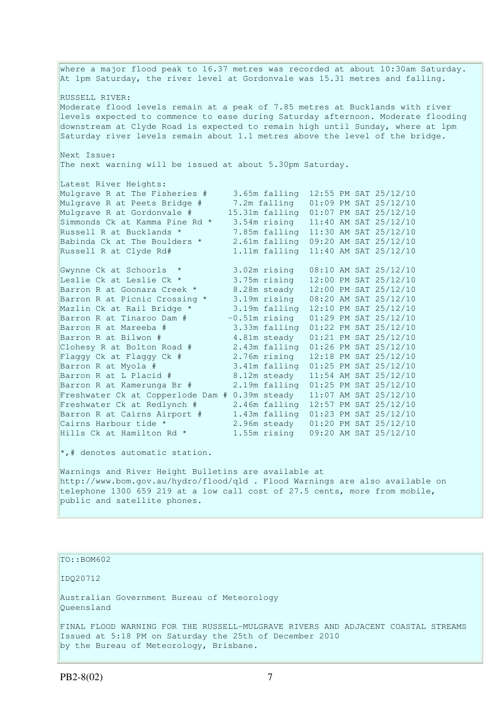where a major flood peak to 16.37 metres was recorded at about 10:30am Saturday. At 1pm Saturday, the river level at Gordonvale was 15.31 metres and falling. RUSSELL RIVER: Moderate flood levels remain at a peak of 7.85 metres at Bucklands with river levels expected to commence to ease during Saturday afternoon. Moderate flooding downstream at Clyde Road is expected to remain high until Sunday, where at 1pm Saturday river levels remain about 1.1 metres above the level of the bridge. Next Issue: The next warning will be issued at about 5.30pm Saturday. Latest River Heights: Mulgrave R at The Fisheries # 3.65m falling 12:55 PM SAT 25/12/10 Mulgrave R at Peets Bridge # 7.2m falling 01:09 PM SAT 25/12/10 Mulgrave R at Gordonvale # 15.31m falling 01:07 PM SAT 25/12/10 Simmonds Ck at Kamma Pine Rd \* 3.54m rising 11:40 AM SAT 25/12/10 Russell R at Bucklands  $\star$  7.85m falling  $11:30$  AM SAT 25/12/10 Babinda Ck at The Boulders \* 2.61m falling 09:20 AM SAT 25/12/10 Russell R at Clyde Rd# 1.11m falling 11:40 AM SAT 25/12/10 Gwynne Ck at Schoorls \* 3.02m rising 08:10 AM SAT 25/12/10 Leslie Ck at Leslie Ck \* 3.75m rising 12:00 PM SAT 25/12/10 Barron R at Goonara Creek \* 8.28m steady 12:00 PM SAT 25/12/10 Barron R at Picnic Crossing \* 3.19m rising 08:20 AM SAT 25/12/10 Mazlin Ck at Rail Bridge \* 3.19m falling 12:10 PM SAT 25/12/10 Barron R at Tinaroo Dam  $#$   $-0.51$ m rising  $01:29$  PM SAT  $25/12/10$ Barron R at Mareeba # 3.33m falling 01:22 PM SAT 25/12/10 Barron R at Bilwon # 4.81m steady 01:21 PM SAT 25/12/10 Clohesy R at Bolton Road # 2.43m falling 01:26 PM SAT 25/12/10 Flaggy Ck at Flaggy Ck # 2.76m rising 12:18 PM SAT 25/12/10 Barron R at Myola # 3.41m falling 01:25 PM SAT 25/12/10 Barron R at L Placid # 8.12m steady 11:54 AM SAT 25/12/10 Barron R at Kamerunga Br # 2.19m falling 01:25 PM SAT 25/12/10 Freshwater Ck at Copperlode Dam # 0.39m steady 11:07 AM SAT 25/12/10 Freshwater Ck at Redlynch # 2.46m falling 12:57 PM SAT 25/12/10 Barron R at Cairns Airport # 1.43m falling 01:23 PM SAT 25/12/10 Cairns Harbour tide \*  $\overline{2.96m}$  steady  $\overline{01:20}$  PM SAT 25/12/10<br>Hills Ck at Hamilton Rd \*  $\overline{1.55m}$  rising  $\overline{09:20}$  AM SAT 25/12/10 1.55m rising 09:20 AM SAT 25/12/10 \*,# denotes automatic station.

Warnings and River Height Bulletins are available at http://www.bom.gov.au/hydro/flood/qld . Flood Warnings are also available on telephone 1300 659 219 at a low call cost of 27.5 cents, more from mobile, public and satellite phones.

TO::BOM602

IDQ20712

Australian Government Bureau of Meteorology Queensland

FINAL FLOOD WARNING FOR THE RUSSELL-MULGRAVE RIVERS AND ADJACENT COASTAL STREAMS Issued at 5:18 PM on Saturday the 25th of December 2010 by the Bureau of Meteorology, Brisbane.